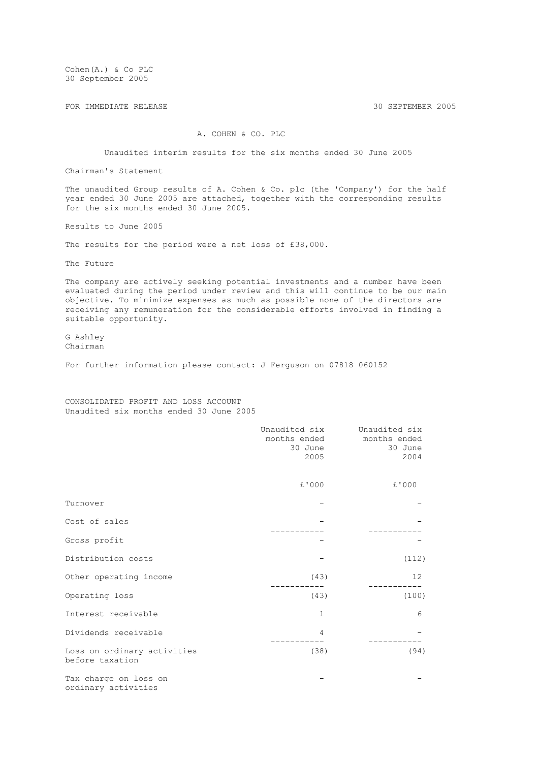Cohen(A.) & Co PLC 30 September 2005

FOR IMMEDIATE RELEASE 30 SEPTEMBER 2005

## A. COHEN & CO. PLC

Unaudited interim results for the six months ended 30 June 2005

Chairman's Statement

The unaudited Group results of A. Cohen & Co. plc (the 'Company') for the half year ended 30 June 2005 are attached, together with the corresponding results for the six months ended 30 June 2005.

Results to June 2005

The results for the period were a net loss of £38,000.

The Future

The company are actively seeking potential investments and a number have been evaluated during the period under review and this will continue to be our main objective. To minimize expenses as much as possible none of the directors are receiving any remuneration for the considerable efforts involved in finding a suitable opportunity.

G Ashley Chairman

For further information please contact: J Ferguson on 07818 060152

CONSOLIDATED PROFIT AND LOSS ACCOUNT Unaudited six months ended 30 June 2005

|                                                | Unaudited six<br>months ended<br>30 June<br>2005 | Unaudited six<br>months ended<br>30 June<br>2004 |
|------------------------------------------------|--------------------------------------------------|--------------------------------------------------|
|                                                | £'000                                            | £'000                                            |
| Turnover                                       |                                                  |                                                  |
| Cost of sales                                  |                                                  |                                                  |
| Gross profit                                   |                                                  |                                                  |
| Distribution costs                             |                                                  | (112)                                            |
| Other operating income                         | (43)                                             | 12                                               |
| Operating loss                                 | (43)                                             | (100)                                            |
| Interest receivable                            | $\mathbf{1}$                                     | 6                                                |
| Dividends receivable                           | 4                                                |                                                  |
| Loss on ordinary activities<br>before taxation | (38)                                             | (94)                                             |
| Tax charge on loss on<br>ordinary activities   |                                                  |                                                  |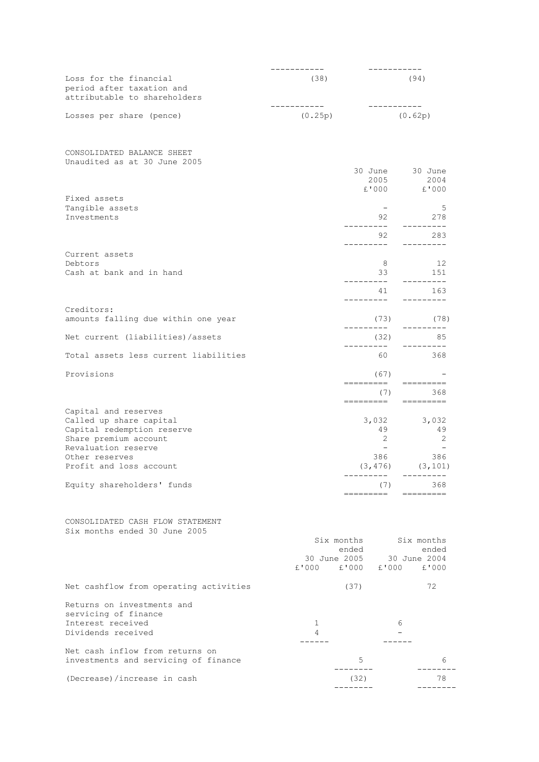|                                                                                                                                                                                                          | -----------                | -----------                                                                      |                                                                                                                                                                                                                                                                                                                                                                                                                                                                                                                                                                                                                                 |
|----------------------------------------------------------------------------------------------------------------------------------------------------------------------------------------------------------|----------------------------|----------------------------------------------------------------------------------|---------------------------------------------------------------------------------------------------------------------------------------------------------------------------------------------------------------------------------------------------------------------------------------------------------------------------------------------------------------------------------------------------------------------------------------------------------------------------------------------------------------------------------------------------------------------------------------------------------------------------------|
| Loss for the financial<br>period after taxation and<br>attributable to shareholders                                                                                                                      | (38)                       |                                                                                  | (94)                                                                                                                                                                                                                                                                                                                                                                                                                                                                                                                                                                                                                            |
| Losses per share (pence)                                                                                                                                                                                 | (0.25p)                    | -----------<br>(0.62p)                                                           |                                                                                                                                                                                                                                                                                                                                                                                                                                                                                                                                                                                                                                 |
| CONSOLIDATED BALANCE SHEET<br>Unaudited as at 30 June 2005                                                                                                                                               |                            | 30 June 30 June<br>2005                                                          | 2004<br>£'000 £'000                                                                                                                                                                                                                                                                                                                                                                                                                                                                                                                                                                                                             |
| Fixed assets<br>Tangible assets<br>Investments                                                                                                                                                           |                            | $\sim$ $-$<br>92 —                                                               | - 5<br>278<br>---------<br>283                                                                                                                                                                                                                                                                                                                                                                                                                                                                                                                                                                                                  |
| Current assets<br>Debtors<br>Cash at bank and in hand                                                                                                                                                    |                            | -------<br>8<br>33<br>. _ _ _ _ _ _ _ _                                          | - 12<br>151<br>_________<br>163                                                                                                                                                                                                                                                                                                                                                                                                                                                                                                                                                                                                 |
| Creditors:<br>amounts falling due within one year                                                                                                                                                        |                            | . <u>.</u><br>---------                                                          | _________<br>$(73)$ (78)<br>----------                                                                                                                                                                                                                                                                                                                                                                                                                                                                                                                                                                                          |
| Net current (liabilities)/assets                                                                                                                                                                         |                            | (32)                                                                             | - 85<br>----------                                                                                                                                                                                                                                                                                                                                                                                                                                                                                                                                                                                                              |
| Total assets less current liabilities                                                                                                                                                                    |                            |                                                                                  | 60 368                                                                                                                                                                                                                                                                                                                                                                                                                                                                                                                                                                                                                          |
| Provisions                                                                                                                                                                                               |                            | (67)<br>=========       ========                                                 |                                                                                                                                                                                                                                                                                                                                                                                                                                                                                                                                                                                                                                 |
| Capital and reserves<br>Called up share capital<br>Capital redemption reserve<br>Share premium account<br>Revaluation reserve<br>Other reserves<br>Profit and loss account<br>Equity shareholders' funds |                            | =========<br>49<br>2<br>$\sim$ 100 $\mu$<br>386<br>(3, 476)<br>(7)<br>---------- | $(7)$ 368<br>$\begin{array}{cccccccccc} \multicolumn{2}{c}{} & \multicolumn{2}{c}{} & \multicolumn{2}{c}{} & \multicolumn{2}{c}{} & \multicolumn{2}{c}{} & \multicolumn{2}{c}{} & \multicolumn{2}{c}{} & \multicolumn{2}{c}{} & \multicolumn{2}{c}{} & \multicolumn{2}{c}{} & \multicolumn{2}{c}{} & \multicolumn{2}{c}{} & \multicolumn{2}{c}{} & \multicolumn{2}{c}{} & \multicolumn{2}{c}{} & \multicolumn{2}{c}{} & \multicolumn{2}{c}{} & \multicolumn{2}{c}{} & \multicolumn{2}{c}{} & \mult$<br>3,032 3,032<br>49<br>$\overline{2}$<br>$\sim$ $-$<br>386<br>(3, 101)<br>---------<br>368<br>$\qquad \qquad \dfrac{1}{1}$ |
| CONSOLIDATED CASH FLOW STATEMENT<br>Six months ended 30 June 2005                                                                                                                                        | Six months<br>30 June 2005 | ended<br>£'000 £'000 £'000 £'000                                                 | Six months<br>ended<br>30 June 2004                                                                                                                                                                                                                                                                                                                                                                                                                                                                                                                                                                                             |
| Net cashflow from operating activities                                                                                                                                                                   |                            | (37)                                                                             | 72                                                                                                                                                                                                                                                                                                                                                                                                                                                                                                                                                                                                                              |
| Returns on investments and<br>servicing of finance<br>Interest received<br>Dividends received                                                                                                            | 1<br>4<br>----             | 6                                                                                |                                                                                                                                                                                                                                                                                                                                                                                                                                                                                                                                                                                                                                 |
| Net cash inflow from returns on<br>investments and servicing of finance                                                                                                                                  |                            | 5<br>--------                                                                    | 6                                                                                                                                                                                                                                                                                                                                                                                                                                                                                                                                                                                                                               |
| (Decrease)/increase in cash                                                                                                                                                                              |                            | (32)                                                                             | 78                                                                                                                                                                                                                                                                                                                                                                                                                                                                                                                                                                                                                              |
|                                                                                                                                                                                                          |                            |                                                                                  |                                                                                                                                                                                                                                                                                                                                                                                                                                                                                                                                                                                                                                 |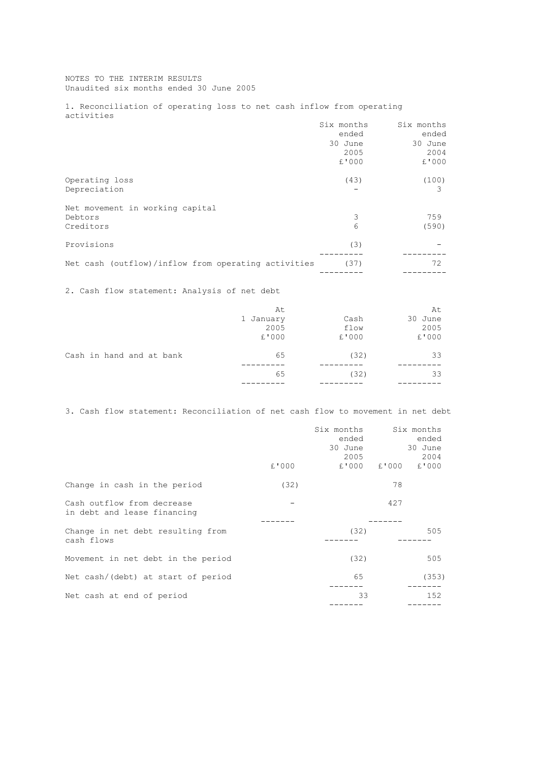## NOTES TO THE INTERIM RESULTS Unaudited six months ended 30 June 2005

1. Reconciliation of operating loss to net cash inflow from operating activities

|                                                     |    | Six months  | Six months   |
|-----------------------------------------------------|----|-------------|--------------|
|                                                     |    | ended       | ended        |
|                                                     |    | 30 June     | 30 June      |
|                                                     |    | 2005        | 2004         |
|                                                     |    | £'000       | £'000        |
| Operating loss                                      |    | (43)        | (100)        |
| Depreciation                                        |    |             | 3            |
| Net movement in working capital                     |    |             |              |
| Debtors                                             |    | 3           | 759          |
| Creditors                                           |    | 6           | (590)        |
| Provisions                                          |    | (3)         |              |
|                                                     |    |             |              |
| Net cash (outflow)/inflow from operating activities |    | (37)        | 72           |
|                                                     |    |             |              |
| 2. Cash flow statement: Analysis of net debt        |    |             |              |
|                                                     | At |             | At           |
|                                                     |    | $\sim$ $-1$ | $20 - 7 - 7$ |

|                          | 1 January | Cash  | 30 June |
|--------------------------|-----------|-------|---------|
|                          | 2005      | flow  | 2005    |
|                          | £'000     | £'000 | £'000   |
| Cash in hand and at bank | 65        | (32)  | 33      |
|                          |           |       |         |
|                          | 65        | (32)  | 33      |
|                          |           |       |         |

3. Cash flow statement: Reconciliation of net cash flow to movement in net debt

|                                                           |       | Six months<br>ended<br>30 June<br>2005 |             | Six months<br>ended<br>30 June<br>2004 |
|-----------------------------------------------------------|-------|----------------------------------------|-------------|----------------------------------------|
|                                                           | £'000 |                                        | £'000 £'000 | £'000                                  |
| Change in cash in the period                              | (32)  |                                        | 78          |                                        |
| Cash outflow from decrease<br>in debt and lease financing |       |                                        | 427         |                                        |
|                                                           |       |                                        |             |                                        |
| Change in net debt resulting from<br>cash flows           |       | (32)                                   |             | 505                                    |
| Movement in net debt in the period                        |       | (32)                                   |             | 505                                    |
| Net cash/(debt) at start of period                        |       | 65                                     |             | (353)                                  |
| Net cash at end of period                                 |       | 33                                     |             | 152                                    |